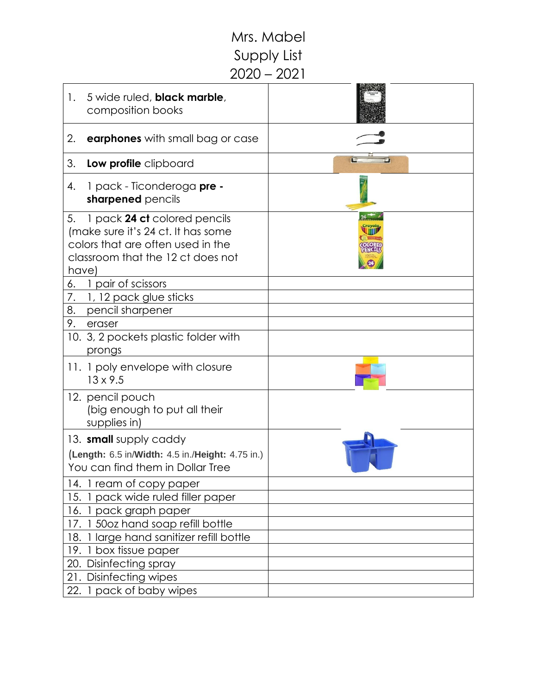## Mrs. Mabel Supply List 2020 – 2021

| 5 wide ruled, black marble,<br>1.<br>composition books                                                                                                      |  |
|-------------------------------------------------------------------------------------------------------------------------------------------------------------|--|
| 2.<br><b>earphones</b> with small bag or case                                                                                                               |  |
| 3.<br>Low profile clipboard                                                                                                                                 |  |
| 1 pack - Ticonderoga pre -<br>4.<br>sharpened pencils                                                                                                       |  |
| 1 pack 24 ct colored pencils<br>5.<br>(make sure it's 24 ct. It has some<br>colors that are often used in the<br>classroom that the 12 ct does not<br>have) |  |
| 1 pair of scissors<br>6.                                                                                                                                    |  |
| 7.<br>1, 12 pack glue sticks                                                                                                                                |  |
| 8.<br>pencil sharpener                                                                                                                                      |  |
| 9.<br>eraser                                                                                                                                                |  |
| 10. 3, 2 pockets plastic folder with<br>prongs                                                                                                              |  |
| 11. 1 poly envelope with closure<br>$13 \times 9.5$                                                                                                         |  |
| 12. pencil pouch<br>(big enough to put all their<br>supplies in)                                                                                            |  |
| 13. <b>small</b> supply caddy<br>(Length: 6.5 in/Width: 4.5 in./Height: 4.75 in.)<br>You can find them in Dollar Tree                                       |  |
| 14. I ream of copy paper                                                                                                                                    |  |
| pack wide ruled filler paper<br>15.                                                                                                                         |  |
| 16. 1 pack graph paper                                                                                                                                      |  |
| 17. 1 50oz hand soap refill bottle                                                                                                                          |  |
| 18. 1 large hand sanitizer refill bottle                                                                                                                    |  |
| 19. 1 box tissue paper                                                                                                                                      |  |
| 20. Disinfecting spray                                                                                                                                      |  |
| 21. Disinfecting wipes                                                                                                                                      |  |
| 22. 1 pack of baby wipes                                                                                                                                    |  |